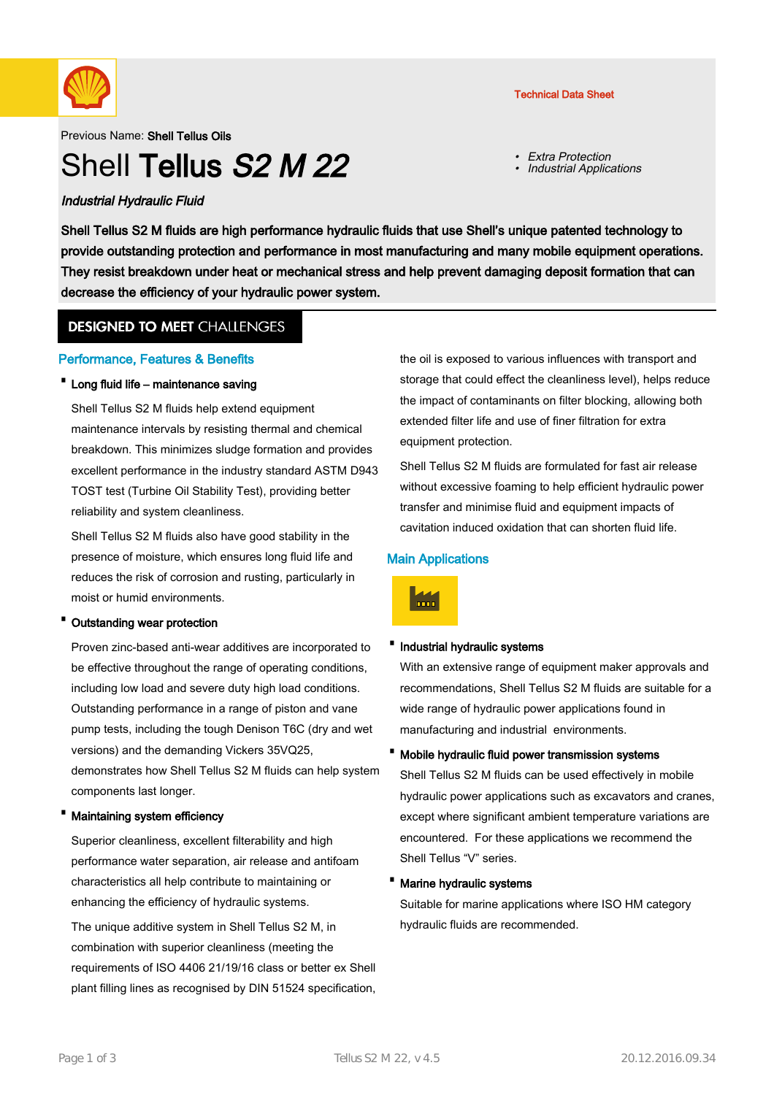

## Previous Name: Shell Tellus Oils

# Shell Tellus S<sub>2</sub> M<sub>22</sub>

## Industrial Hydraulic Fluid

Technical Data Sheet

- Extra Protection
- •Industrial Applications

Shell Tellus S2 M fluids are high performance hydraulic fluids that use Shell's unique patented technology to provide outstanding protection and performance in most manufacturing and many mobile equipment operations. They resist breakdown under heat or mechanical stress and help prevent damaging deposit formation that can decrease the efficiency of your hydraulic power system.

## **DESIGNED TO MEET CHALLENGES**

## Performance, Features & Benefits

## · Long fluid life – maintenance saving

Shell Tellus S2 M fluids help extend equipment maintenance intervals by resisting thermal and chemical breakdown. This minimizes sludge formation and provides excellent performance in the industry standard ASTM D943 TOST test (Turbine Oil Stability Test), providing better reliability and system cleanliness.

Shell Tellus S2 M fluids also have good stability in the presence of moisture, which ensures long fluid life and reduces the risk of corrosion and rusting, particularly in moist or humid environments.

## · Outstanding wear protection

Proven zinc-based anti-wear additives are incorporated to be effective throughout the range of operating conditions, including low load and severe duty high load conditions. Outstanding performance in a range of piston and vane pump tests, including the tough Denison T6C (dry and wet versions) and the demanding Vickers 35VQ25, demonstrates how Shell Tellus S2 M fluids can help system components last longer.

## Maintaining system efficiency

Superior cleanliness, excellent filterability and high performance water separation, air release and antifoam characteristics all help contribute to maintaining or enhancing the efficiency of hydraulic systems.

The unique additive system in Shell Tellus S2 M, in combination with superior cleanliness (meeting the requirements of ISO 4406 21/19/16 class or better ex Shell plant filling lines as recognised by DIN 51524 specification, the oil is exposed to various influences with transport and storage that could effect the cleanliness level), helps reduce the impact of contaminants on filter blocking, allowing both extended filter life and use of finer filtration for extra equipment protection.

Shell Tellus S2 M fluids are formulated for fast air release without excessive foaming to help efficient hydraulic power transfer and minimise fluid and equipment impacts of cavitation induced oxidation that can shorten fluid life.

## Main Applications



## ·Industrial hydraulic systems

With an extensive range of equipment maker approvals and recommendations, Shell Tellus S2 M fluids are suitable for a wide range of hydraulic power applications found in manufacturing and industrial environments.

· Mobile hydraulic fluid power transmission systems

Shell Tellus S2 M fluids can be used effectively in mobile hydraulic power applications such as excavators and cranes, except where significant ambient temperature variations are encountered. For these applications we recommend the Shell Tellus "V" series.

## · Marine hydraulic systems

Suitable for marine applications where ISO HM category hydraulic fluids are recommended.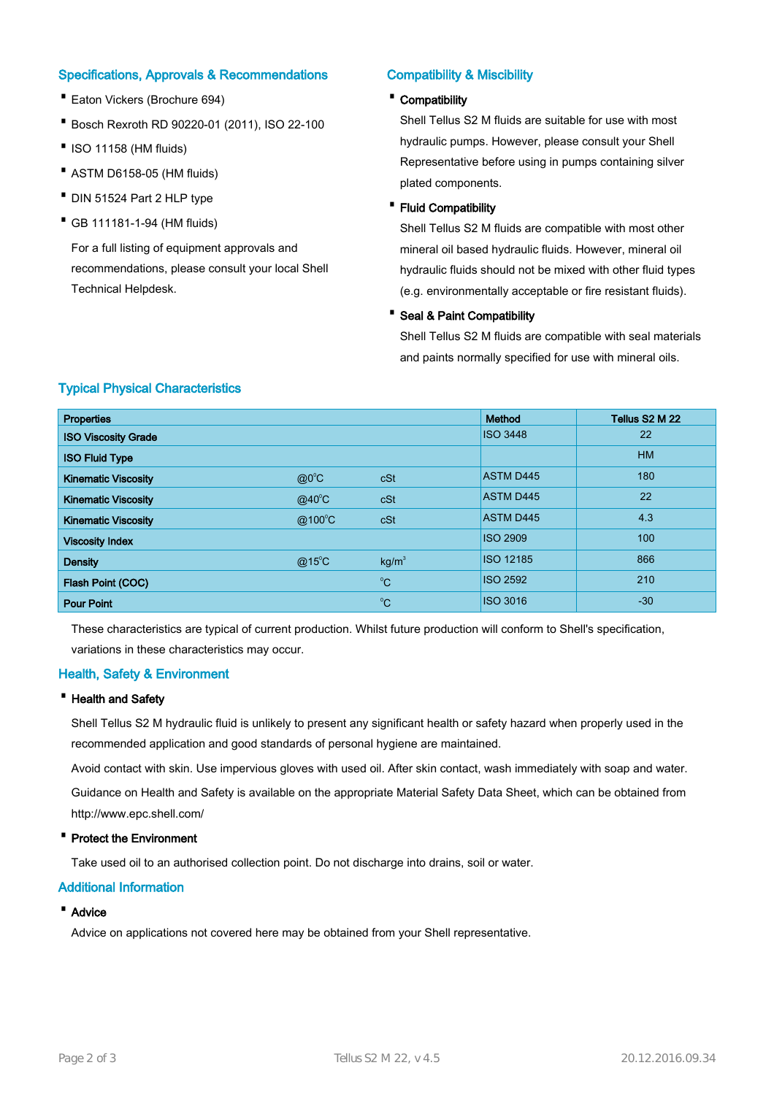## Specifications, Approvals & Recommendations

- · Eaton Vickers (Brochure 694)
- · Bosch Rexroth RD 90220-01 (2011), ISO 22-100
- ·ISO 11158 (HM fluids)
- · ASTM D6158-05 (HM fluids)
- · DIN 51524 Part 2 HLP type
- · GB 111181-1-94 (HM fluids)

For a full listing of equipment approvals and recommendations, please consult your local Shell Technical Helpdesk.

# Compatibility & Miscibility

## · Compatibility

Shell Tellus S2 M fluids are suitable for use with most hydraulic pumps. However, please consult your Shell Representative before using in pumps containing silver plated components.

## · Fluid Compatibility

Shell Tellus S2 M fluids are compatible with most other mineral oil based hydraulic fluids. However, mineral oil hydraulic fluids should not be mixed with other fluid types (e.g. environmentally acceptable or fire resistant fluids).

## · Seal & Paint Compatibility

Shell Tellus S2 M fluids are compatible with seal materials and paints normally specified for use with mineral oils.

|  |  | <b>Typical Physical Characteristics</b> |
|--|--|-----------------------------------------|
|--|--|-----------------------------------------|

| <b>Properties</b>          |                 |                   | Method           | Tellus S2 M 22 |
|----------------------------|-----------------|-------------------|------------------|----------------|
| <b>ISO Viscosity Grade</b> |                 |                   | <b>ISO 3448</b>  | 22             |
| <b>ISO Fluid Type</b>      |                 |                   |                  | <b>HM</b>      |
| <b>Kinematic Viscosity</b> | $@0^{\circ}C$   | cSt               | <b>ASTM D445</b> | 180            |
| <b>Kinematic Viscosity</b> | $@40^{\circ}$ C | cSt               | <b>ASTM D445</b> | 22             |
| <b>Kinematic Viscosity</b> | @100°C          | cSt               | <b>ASTM D445</b> | 4.3            |
| <b>Viscosity Index</b>     |                 |                   | <b>ISO 2909</b>  | 100            |
| <b>Density</b>             | $@15^{\circ}$ C | kg/m <sup>3</sup> | ISO 12185        | 866            |
| Flash Point (COC)          |                 | $^{\circ}C$       | <b>ISO 2592</b>  | 210            |
| <b>Pour Point</b>          |                 | $^{\circ}C$       | <b>ISO 3016</b>  | $-30$          |

These characteristics are typical of current production. Whilst future production will conform to Shell's specification, variations in these characteristics may occur.

## Health, Safety & Environment

## · Health and Safety

Shell Tellus S2 M hydraulic fluid is unlikely to present any significant health or safety hazard when properly used in the recommended application and good standards of personal hygiene are maintained.

Avoid contact with skin. Use impervious gloves with used oil. After skin contact, wash immediately with soap and water.

Guidance on Health and Safety is available on the appropriate Material Safety Data Sheet, which can be obtained from http://www.epc.shell.com/

## · Protect the Environment

Take used oil to an authorised collection point. Do not discharge into drains, soil or water.

## Additional Information

## · Advice

Advice on applications not covered here may be obtained from your Shell representative.